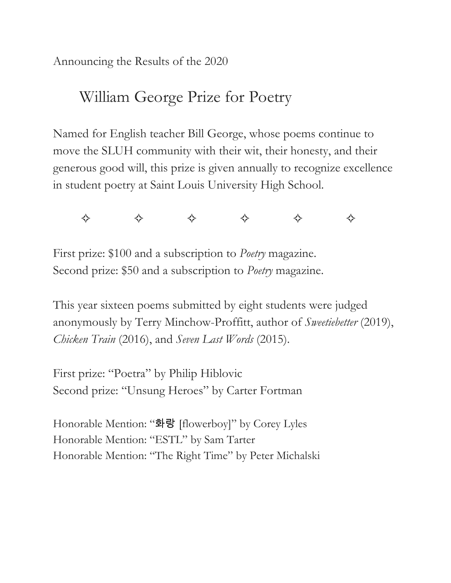Announcing the Results of the 2020

# William George Prize for Poetry

Named for English teacher Bill George, whose poems continue to move the SLUH community with their wit, their honesty, and their generous good will, this prize is given annually to recognize excellence in student poetry at Saint Louis University High School.



First prize: \$100 and a subscription to *Poetry* magazine. Second prize: \$50 and a subscription to *Poetry* magazine.

This year sixteen poems submitted by eight students were judged anonymously by Terry Minchow-Proffitt, author of *Sweetiebetter* (2019), *Chicken Train* (2016), and *Seven Last Words* (2015).

First prize: "Poetra" by Philip Hiblovic Second prize: "Unsung Heroes" by Carter Fortman

Honorable Mention: "화랑 [flowerboy]" by Corey Lyles Honorable Mention: "ESTL" by Sam Tarter Honorable Mention: "The Right Time" by Peter Michalski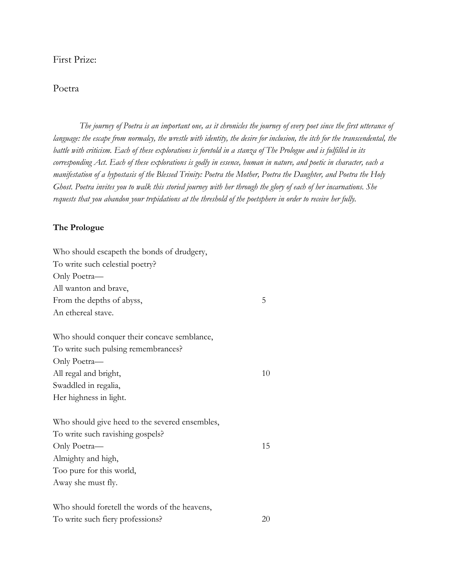## First Prize:

## Poetra

*The journey of Poetra is an important one, as it chronicles the journey of every poet since the first utterance of language: the escape from normalcy, the wrestle with identity, the desire for inclusion, the itch for the transcendental, the battle with criticism. Each of these explorations is foretold in a stanza of The Prologue and is fulfilled in its corresponding Act. Each of these explorations is godly in essence, human in nature, and poetic in character, each a manifestation of a hypostasis of the Blessed Trinity: Poetra the Mother, Poetra the Daughter, and Poetra the Holy Ghost. Poetra invites you to walk this storied journey with her through the glory of each of her incarnations. She requests that you abandon your trepidations at the threshold of the poetsphere in order to receive her fully.*

## **The Prologue**

| Who should escapeth the bonds of drudgery,     |    |
|------------------------------------------------|----|
| To write such celestial poetry?                |    |
| Only Poetra-                                   |    |
| All wanton and brave,                          |    |
| From the depths of abyss,                      | 5  |
| An ethereal stave.                             |    |
| Who should conquer their concave semblance,    |    |
| To write such pulsing remembrances?            |    |
| Only Poetra-                                   |    |
| All regal and bright,                          | 10 |
| Swaddled in regalia,                           |    |
| Her highness in light.                         |    |
| Who should give heed to the severed ensembles, |    |
| To write such ravishing gospels?               |    |
| Only Poetra-                                   | 15 |
| Almighty and high,                             |    |
| Too pure for this world,                       |    |
| Away she must fly.                             |    |
| Who should foretell the words of the heavens,  |    |
| To write such fiery professions?               | 20 |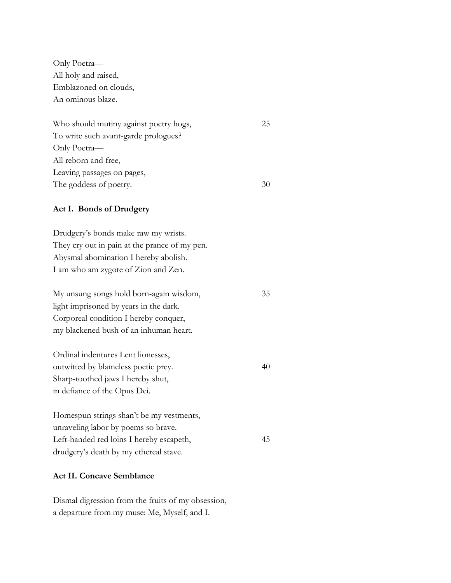Only Poetra— All holy and raised, Emblazoned on clouds, An ominous blaze.

| Who should mutiny against poetry hogs, | 25 |
|----------------------------------------|----|
| To write such avant-garde prologues?   |    |
| Only Poetra—                           |    |
| All reborn and free,                   |    |
| Leaving passages on pages,             |    |
| The goddess of poetry.                 | 30 |

### **Act I. Bonds of Drudgery**

Drudgery's bonds make raw my wrists. They cry out in pain at the prance of my pen. Abysmal abomination I hereby abolish. I am who am zygote of Zion and Zen.

| My unsung songs hold born-again wisdom, | 35 |
|-----------------------------------------|----|
| light imprisoned by years in the dark.  |    |
| Corporeal condition I hereby conquer,   |    |
| my blackened bush of an inhuman heart.  |    |
|                                         |    |

40

Ordinal indentures Lent lionesses, outwitted by blameless poetic prey. Sharp-toothed jaws I hereby shut, in defiance of the Opus Dei.

Homespun strings shan't be my vestments, unraveling labor by poems so brave. Left-handed red loins I hereby escapeth, drudgery's death by my ethereal stave. 45

#### **Act II. Concave Semblance**

Dismal digression from the fruits of my obsession, a departure from my muse: Me, Myself, and I.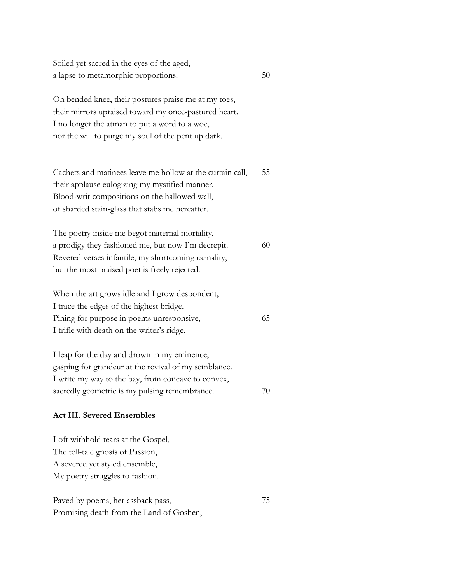Soiled yet sacred in the eyes of the aged, a lapse to metamorphic proportions.

On bended knee, their postures praise me at my toes, their mirrors upraised toward my once-pastured heart. I no longer the atman to put a word to a woe, nor the will to purge my soul of the pent up dark.

50

70

Cachets and matinees leave me hollow at the curtain call, their applause eulogizing my mystified manner. Blood-writ compositions on the hallowed wall, of sharded stain-glass that stabs me hereafter. 55

The poetry inside me begot maternal mortality, a prodigy they fashioned me, but now I'm decrepit. Revered verses infantile, my shortcoming carnality, but the most praised poet is freely rejected. 60

When the art grows idle and I grow despondent, I trace the edges of the highest bridge. Pining for purpose in poems unresponsive, I trifle with death on the writer's ridge. 65

I leap for the day and drown in my eminence, gasping for grandeur at the revival of my semblance. I write my way to the bay, from concave to convex, sacredly geometric is my pulsing remembrance.

#### **Act III. Severed Ensembles**

I oft withhold tears at the Gospel, The tell-tale gnosis of Passion, A severed yet styled ensemble, My poetry struggles to fashion.

Paved by poems, her assback pass, Promising death from the Land of Goshen, 75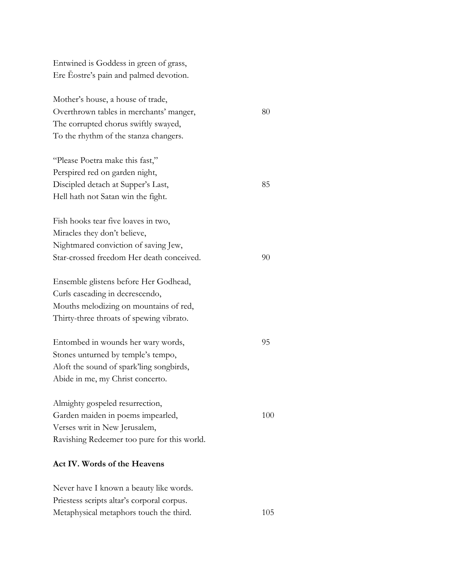| Entwined is Goddess in green of grass,      |     |
|---------------------------------------------|-----|
| Ere Eostre's pain and palmed devotion.      |     |
|                                             |     |
| Mother's house, a house of trade,           |     |
| Overthrown tables in merchants' manger,     | 80  |
| The corrupted chorus swiftly swayed,        |     |
| To the rhythm of the stanza changers.       |     |
| "Please Poetra make this fast,"             |     |
| Perspired red on garden night,              |     |
| Discipled detach at Supper's Last,          | 85  |
| Hell hath not Satan win the fight.          |     |
| Fish hooks tear five loaves in two,         |     |
| Miracles they don't believe,                |     |
| Nightmared conviction of saving Jew,        |     |
| Star-crossed freedom Her death conceived.   | 90  |
| Ensemble glistens before Her Godhead,       |     |
| Curls cascading in decrescendo,             |     |
| Mouths melodizing on mountains of red,      |     |
| Thirty-three throats of spewing vibrato.    |     |
| Entombed in wounds her wary words,          | 95  |
| Stones unturned by temple's tempo,          |     |
| Aloft the sound of spark'ling songbirds,    |     |
| Abide in me, my Christ concerto.            |     |
| Almighty gospeled resurrection,             |     |
| Garden maiden in poems impearled,           | 100 |
| Verses writ in New Jerusalem,               |     |
| Ravishing Redeemer too pure for this world. |     |
|                                             |     |
| Act IV. Words of the Heavens                |     |
| Never have I known a heauty like words      |     |

Never have I known a beauty like words. Priestess scripts altar's corporal corpus. Metaphysical metaphors touch the third. 105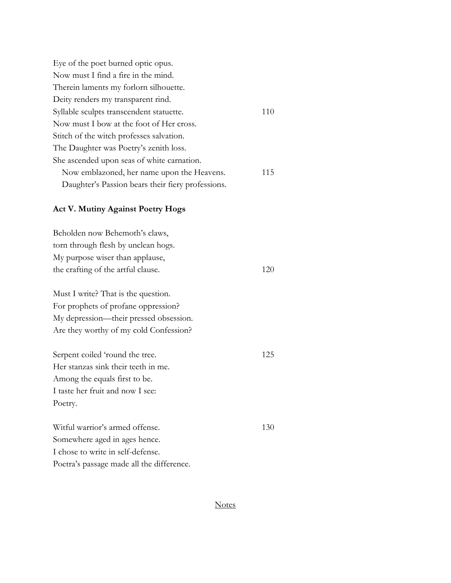| Eye of the poet burned optic opus.                |     |
|---------------------------------------------------|-----|
| Now must I find a fire in the mind.               |     |
| Therein laments my forlorn silhouette.            |     |
| Deity renders my transparent rind.                |     |
| Syllable sculpts transcendent statuette.          | 110 |
| Now must I bow at the foot of Her cross.          |     |
| Stitch of the witch professes salvation.          |     |
| The Daughter was Poetry's zenith loss.            |     |
| She ascended upon seas of white carnation.        |     |
| Now emblazoned, her name upon the Heavens.        | 115 |
| Daughter's Passion bears their fiery professions. |     |

## **Act V. Mutiny Against Poetry Hogs**

| Beholden now Behemoth's claws,            |     |
|-------------------------------------------|-----|
| torn through flesh by unclean hogs.       |     |
| My purpose wiser than applause,           |     |
| the crafting of the artful clause.        | 120 |
| Must I write? That is the question.       |     |
| For prophets of profane oppression?       |     |
| My depression—their pressed obsession.    |     |
| Are they worthy of my cold Confession?    |     |
| Serpent coiled 'round the tree.           | 125 |
| Her stanzas sink their teeth in me.       |     |
| Among the equals first to be.             |     |
| I taste her fruit and now I see:          |     |
| Poetry.                                   |     |
| Witful warrior's armed offense.           | 130 |
| Somewhere aged in ages hence.             |     |
| I chose to write in self-defense.         |     |
| Poetra's passage made all the difference. |     |

## **Notes**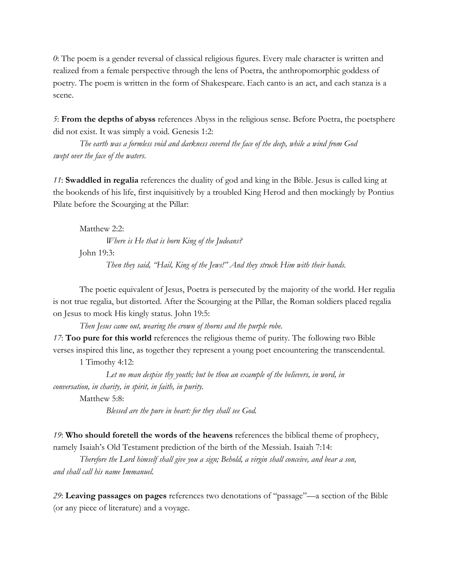*0*: The poem is a gender reversal of classical religious figures. Every male character is written and realized from a female perspective through the lens of Poetra, the anthropomorphic goddess of poetry. The poem is written in the form of Shakespeare. Each canto is an act, and each stanza is a scene.

*5*: **From the depths of abyss** references Abyss in the religious sense. Before Poetra, the poetsphere did not exist. It was simply a void. Genesis 1:2:

*The earth was a formless void and darkness covered the face of the deep, while a wind from God swept over the face of the waters*.

*11*: **Swaddled in regalia** references the duality of god and king in the Bible. Jesus is called king at the bookends of his life, first inquisitively by a troubled King Herod and then mockingly by Pontius Pilate before the Scourging at the Pillar:

Matthew 2:2:

*Where is He that is born King of the Judeans?*

John 19:3:

*Then they said, "Hail, King of the Jews!" And they struck Him with their hands.*

The poetic equivalent of Jesus, Poetra is persecuted by the majority of the world. Her regalia is not true regalia, but distorted. After the Scourging at the Pillar, the Roman soldiers placed regalia on Jesus to mock His kingly status. John 19:5:

*Then Jesus came out, wearing the crown of thorns and the purple robe.*

*17*: **Too pure for this world** references the religious theme of purity. The following two Bible verses inspired this line, as together they represent a young poet encountering the transcendental.

1 Timothy 4:12:

*Let no man despise thy youth; but be thou an example of the believers, in word, in conversation, in charity, in spirit, in faith, in purity.*

Matthew 5:8:

*Blessed are the pure in heart: for they shall see God.*

*19*: **Who should foretell the words of the heavens** references the biblical theme of prophecy, namely Isaiah's Old Testament prediction of the birth of the Messiah. Isaiah 7:14:

*Therefore the Lord himself shall give you a sign; Behold, a virgin shall conceive, and bear a son, and shall call his name Immanuel.*

*29*: **Leaving passages on pages** references two denotations of "passage"—a section of the Bible (or any piece of literature) and a voyage.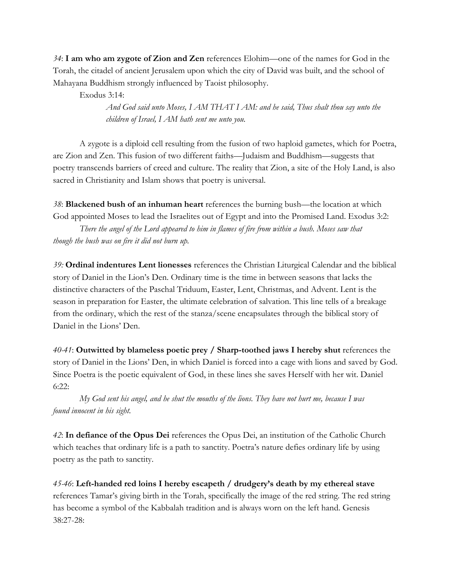*34*: **I am who am zygote of Zion and Zen** references Elohim—one of the names for God in the Torah, the citadel of ancient Jerusalem upon which the city of David was built, and the school of Mahayana Buddhism strongly influenced by Taoist philosophy.

Exodus 3:14:

*And God said unto Moses, I AM THAT I AM: and he said, Thus shalt thou say unto the children of Israel, I AM hath sent me unto you.*

A zygote is a diploid cell resulting from the fusion of two haploid gametes, which for Poetra, are Zion and Zen. This fusion of two different faiths—Judaism and Buddhism—suggests that poetry transcends barriers of creed and culture. The reality that Zion, a site of the Holy Land, is also sacred in Christianity and Islam shows that poetry is universal.

*38*: **Blackened bush of an inhuman heart** references the burning bush—the location at which God appointed Moses to lead the Israelites out of Egypt and into the Promised Land. Exodus 3:2:

*There the angel of the Lord appeared to him in flames of fire from within a bush. Moses saw that though the bush was on fire it did not burn up.*

*39:* **Ordinal indentures Lent lionesses** references the Christian Liturgical Calendar and the biblical story of Daniel in the Lion's Den. Ordinary time is the time in between seasons that lacks the distinctive characters of the Paschal Triduum, Easter, Lent, Christmas, and Advent. Lent is the season in preparation for Easter, the ultimate celebration of salvation. This line tells of a breakage from the ordinary, which the rest of the stanza/scene encapsulates through the biblical story of Daniel in the Lions' Den.

*40-41*: **Outwitted by blameless poetic prey / Sharp-toothed jaws I hereby shut** references the story of Daniel in the Lions' Den, in which Daniel is forced into a cage with lions and saved by God. Since Poetra is the poetic equivalent of God, in these lines she saves Herself with her wit. Daniel 6:22:

*My God sent his angel, and he shut the mouths of the lions. They have not hurt me, because I was found innocent in his sight.*

*42*: **In defiance of the Opus Dei** references the Opus Dei, an institution of the Catholic Church which teaches that ordinary life is a path to sanctity. Poetra's nature defies ordinary life by using poetry as the path to sanctity.

*45-46*: **Left-handed red loins I hereby escapeth / drudgery's death by my ethereal stave** references Tamar's giving birth in the Torah, specifically the image of the red string. The red string has become a symbol of the Kabbalah tradition and is always worn on the left hand. Genesis 38:27-28: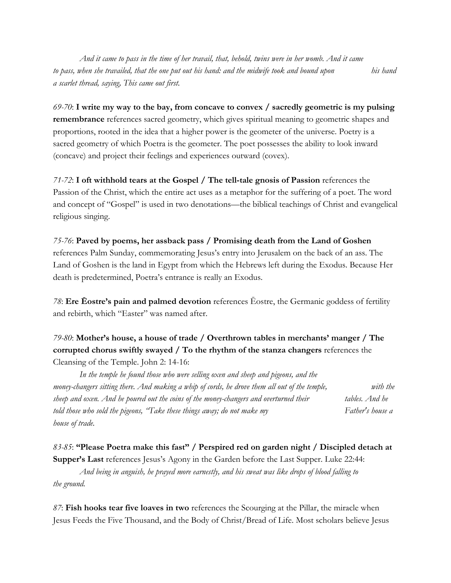*And it came to pass in the time of her travail, that, behold, twins were in her womb. And it came to pass, when she travailed, that the one put out his hand: and the midwife took and bound upon his hand a scarlet thread, saying, This came out first.*

*69-70*: **I write my way to the bay, from concave to convex / sacredly geometric is my pulsing remembrance** references sacred geometry, which gives spiritual meaning to geometric shapes and proportions, rooted in the idea that a higher power is the geometer of the universe. Poetry is a sacred geometry of which Poetra is the geometer. The poet possesses the ability to look inward (concave) and project their feelings and experiences outward (covex).

*71-72*: **I oft withhold tears at the Gospel / The tell-tale gnosis of Passion** references the Passion of the Christ, which the entire act uses as a metaphor for the suffering of a poet. The word and concept of "Gospel" is used in two denotations—the biblical teachings of Christ and evangelical religious singing.

## *75-76*: **Paved by poems, her assback pass / Promising death from the Land of Goshen** references Palm Sunday, commemorating Jesus's entry into Jerusalem on the back of an ass. The

Land of Goshen is the land in Egypt from which the Hebrews left during the Exodus. Because Her death is predetermined, Poetra's entrance is really an Exodus.

*78*: **Ere Ēostre's pain and palmed devotion** references Ēostre, the Germanic goddess of fertility and rebirth, which "Easter" was named after.

## *79-80*: **Mother's house, a house of trade / Overthrown tables in merchants' manger / The corrupted chorus swiftly swayed / To the rhythm of the stanza changers** references the Cleansing of the Temple. John 2: 14-16:

*In the temple he found those who were selling oxen and sheep and pigeons, and the money-changers sitting there. And making a whip of cords, he drove them all out of the temple, with the sheep and oxen. And he poured out the coins of the money-changers and overturned their tables. And he told those who sold the pigeons, "Take these things away; do not make my Father's house a house of trade.*

*83-85*: **"Please Poetra make this fast" / Perspired red on garden night / Discipled detach at Supper's Last** references Jesus's Agony in the Garden before the Last Supper. Luke 22:44:

*And being in anguish, he prayed more earnestly, and his sweat was like drops of blood falling to the ground.*

*87*: **Fish hooks tear five loaves in two** references the Scourging at the Pillar, the miracle when Jesus Feeds the Five Thousand, and the Body of Christ/Bread of Life. Most scholars believe Jesus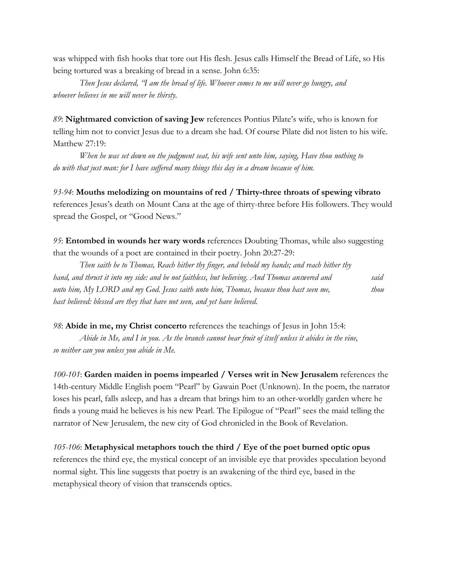was whipped with fish hooks that tore out His flesh. Jesus calls Himself the Bread of Life, so His being tortured was a breaking of bread in a sense. John 6:35:

*Then Jesus declared, "I am the bread of life. Whoever comes to me will never go hungry, and whoever believes in me will never be thirsty.*

*89*: **Nightmared conviction of saving Jew** references Pontius Pilate's wife, who is known for telling him not to convict Jesus due to a dream she had. Of course Pilate did not listen to his wife. Matthew 27:19:

*When he was set down on the judgment seat, his wife sent unto him, saying, Have thou nothing to do with that just man: for I have suffered many things this day in a dream because of him.*

*93-94*: **Mouths melodizing on mountains of red / Thirty-three throats of spewing vibrato** references Jesus's death on Mount Cana at the age of thirty-three before His followers. They would spread the Gospel, or "Good News."

*95*: **Entombed in wounds her wary words** references Doubting Thomas, while also suggesting that the wounds of a poet are contained in their poetry. John 20:27-29:

*Then saith he to Thomas, Reach hither thy finger, and behold my hands; and reach hither thy hand, and thrust it into my side: and be not faithless, but believing. And Thomas answered and said unto him, My LORD and my God. Jesus saith unto him, Thomas, because thou hast seen me, thou hast believed: blessed are they that have not seen, and yet have believed.*

*98*: **Abide in me, my Christ concerto** references the teachings of Jesus in John 15:4:

*Abide in Me, and I in you. As the branch cannot bear fruit of itself unless it abides in the vine, so neither can you unless you abide in Me.*

*100-101*: **Garden maiden in poems impearled / Verses writ in New Jerusalem** references the 14th-century Middle English poem "Pearl" by Gawain Poet (Unknown). In the poem, the narrator loses his pearl, falls asleep, and has a dream that brings him to an other-worldly garden where he finds a young maid he believes is his new Pearl. The Epilogue of "Pearl" sees the maid telling the narrator of New Jerusalem, the new city of God chronicled in the Book of Revelation.

*105-106*: **Metaphysical metaphors touch the third / Eye of the poet burned optic opus** references the third eye, the mystical concept of an invisible eye that provides speculation beyond normal sight. This line suggests that poetry is an awakening of the third eye, based in the metaphysical theory of vision that transcends optics.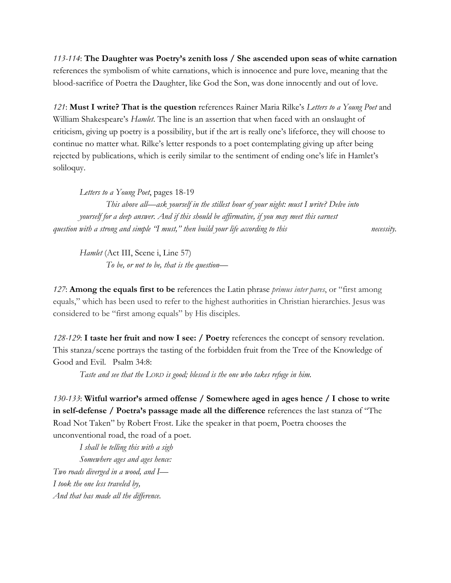*113-114*: **The Daughter was Poetry's zenith loss / She ascended upon seas of white carnation** references the symbolism of white carnations, which is innocence and pure love, meaning that the blood-sacrifice of Poetra the Daughter, like God the Son, was done innocently and out of love.

*121*: **Must I write? That is the question** references Rainer Maria Rilke's *Letters to a Young Poet* and William Shakespeare's *Hamlet*. The line is an assertion that when faced with an onslaught of criticism, giving up poetry is a possibility, but if the art is really one's lifeforce, they will choose to continue no matter what. Rilke's letter responds to a poet contemplating giving up after being rejected by publications, which is eerily similar to the sentiment of ending one's life in Hamlet's soliloquy.

*Letters to a Young Poet*, pages 18-19 *This above all*—*ask yourself in the stillest hour of your night: must I write? Delve into yourself for a deep answer. And if this should be affirmative, if you may meet this earnest question with a strong and simple "I must," then build your life according to this necessity.*

*Hamlet* (Act III, Scene i, Line 57) *To be, or not to be, that is the question—*

*127*: **Among the equals first to be** references the Latin phrase *primus inter pares*, or "first among equals," which has been used to refer to the highest authorities in Christian hierarchies. Jesus was considered to be "first among equals" by His disciples.

*128-129*: **I taste her fruit and now I see: / Poetry** references the concept of sensory revelation. This stanza/scene portrays the tasting of the forbidden fruit from the Tree of the Knowledge of Good and Evil. Psalm 34:8:

*Taste and see that the LORD is good; blessed is the one who takes refuge in him.*

*130-133*: **Witful warrior's armed offense / Somewhere aged in ages hence / I chose to write in self-defense / Poetra's passage made all the difference** references the last stanza of "The Road Not Taken" by Robert Frost. Like the speaker in that poem, Poetra chooses the unconventional road, the road of a poet.

*I shall be telling this with a sigh Somewhere ages and ages hence: Two roads diverged in a wood, and I— I took the one less traveled by, And that has made all the difference.*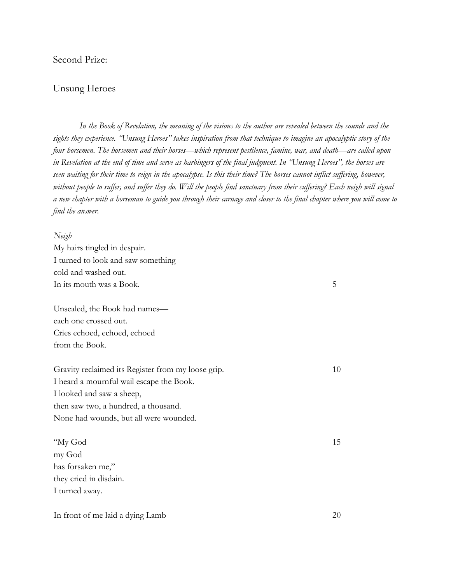## Second Prize:

### Unsung Heroes

*In the Book of Revelation, the meaning of the visions to the author are revealed between the sounds and the sights they experience. "Unsung Heroes" takes inspiration from that technique to imagine an apocalyptic story of the four horsemen. The horsemen and their horses—which represent pestilence, famine, war, and death—are called upon in Revelation at the end of time and serve as harbingers of the final judgment. In "Unsung Heroes", the horses are seen waiting for their time to reign in the apocalypse. Is this their time? The horses cannot inflict suffering, however, without people to suffer, and suffer they do. Will the people find sanctuary from their suffering? Each neigh will signal a new chapter with a horseman to guide you through their carnage and closer to the final chapter where you will come to find the answer.*

| Neigh                              |
|------------------------------------|
| My hairs tingled in despair.       |
| I turned to look and saw something |
| cold and washed out.               |

In its mouth was a Book.

Unsealed, the Book had names each one crossed out. Cries echoed, echoed, echoed from the Book.

Gravity reclaimed its Register from my loose grip. I heard a mournful wail escape the Book. I looked and saw a sheep, then saw two, a hundred, a thousand. None had wounds, but all were wounded.

"My God my God has forsaken me," they cried in disdain. I turned away.

In front of me laid a dying Lamb

5

15

10

20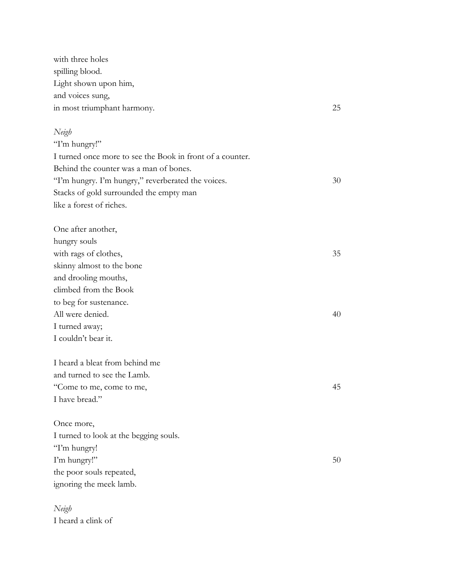with three holes spilling blood. Light shown upon him, and voices sung, in most triumphant harmony.

#### *Neigh*

"I'm hungry!" I turned once more to see the Book in front of a counter. Behind the counter was a man of bones. "I'm hungry. I'm hungry," reverberated the voices. Stacks of gold surrounded the empty man like a forest of riches.

One after another, hungry souls with rags of clothes, skinny almost to the bone and drooling mouths, climbed from the Book to beg for sustenance. All were denied. I turned away; I couldn't bear it. 35 40

25

30

45

50

I heard a bleat from behind me and turned to see the Lamb. "Come to me, come to me, I have bread."

Once more, I turned to look at the begging souls. "I'm hungry! I'm hungry!" the poor souls repeated, ignoring the meek lamb.

*Neigh* I heard a clink of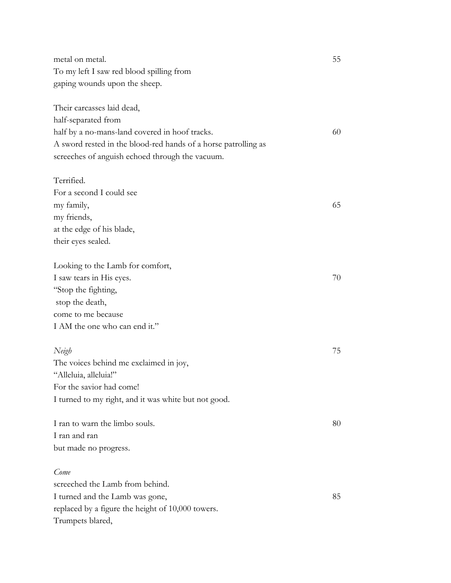metal on metal. To my left I saw red blood spilling from gaping wounds upon the sheep.

Their carcasses laid dead, half-separated from half by a no-mans-land covered in hoof tracks. A sword rested in the blood-red hands of a horse patrolling as screeches of anguish echoed through the vacuum.

## Terrified.

For a second I could see my family, my friends, at the edge of his blade, their eyes sealed. 65

Looking to the Lamb for comfort, I saw tears in His eyes. "Stop the fighting, stop the death, come to me because I AM the one who can end it."

## *Neigh* The voices behind me exclaimed in joy, "Alleluia, alleluia!" For the savior had come! I turned to my right, and it was white but not good.

I ran to warn the limbo souls. I ran and ran but made no progress.

#### *Come*

screeched the Lamb from behind. I turned and the Lamb was gone, replaced by a figure the height of 10,000 towers. Trumpets blared,

55

60

70

75

80

85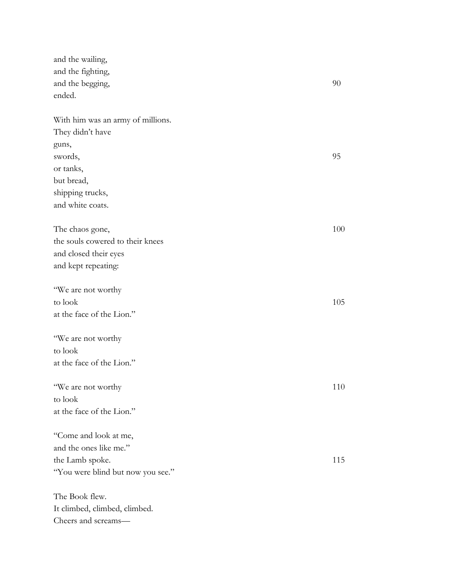and the wailing, and the fighting, and the begging, ended. With him was an army of millions. They didn't have guns, swords, or tanks, but bread, shipping trucks, and white coats. The chaos gone, the souls cowered to their knees and closed their eyes and kept repeating: "We are not worthy to look at the face of the Lion." "We are not worthy to look at the face of the Lion." "We are not worthy to look at the face of the Lion." "Come and look at me, and the ones like me." the Lamb spoke. "You were blind but now you see." The Book flew. It climbed, climbed, climbed. Cheers and screams— 90 95 100 105 110 115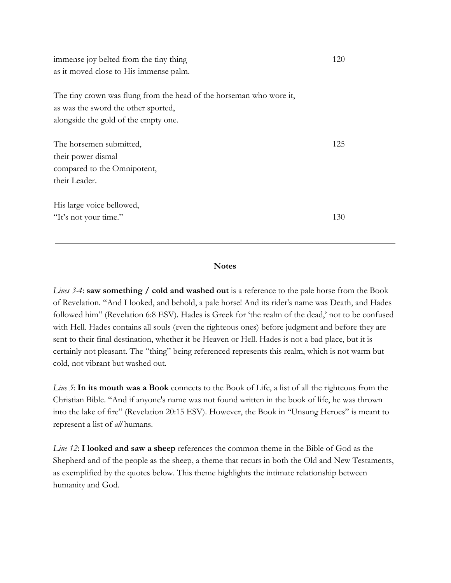immense joy belted from the tiny thing as it moved close to His immense palm.

The tiny crown was flung from the head of the horseman who wore it, as was the sword the other sported, alongside the gold of the empty one.

| The horsemen submitted,     | 125 |
|-----------------------------|-----|
| their power dismal          |     |
| compared to the Omnipotent, |     |
| their Leader.               |     |
| His large voice bellowed,   |     |
| "It's not your time."       | 130 |

#### **Notes**

*Lines 3-4*: **saw something / cold and washed out** is a reference to the pale horse from the Book of Revelation. "And I looked, and behold, a pale horse! And its rider's name was Death, and Hades followed him" (Revelation 6:8 ESV). Hades is Greek for 'the realm of the dead,' not to be confused with Hell. Hades contains all souls (even the righteous ones) before judgment and before they are sent to their final destination, whether it be Heaven or Hell. Hades is not a bad place, but it is certainly not pleasant. The "thing" being referenced represents this realm, which is not warm but cold, not vibrant but washed out.

*Line 5*: **In its mouth was a Book** connects to the Book of Life, a list of all the righteous from the Christian Bible. "And if anyone's name was not found written in the book of life, he was thrown into the lake of fire" (Revelation 20:15 ESV). However, the Book in "Unsung Heroes" is meant to represent a list of *all* humans.

*Line 12*: **I looked and saw a sheep** references the common theme in the Bible of God as the Shepherd and of the people as the sheep, a theme that recurs in both the Old and New Testaments, as exemplified by the quotes below. This theme highlights the intimate relationship between humanity and God.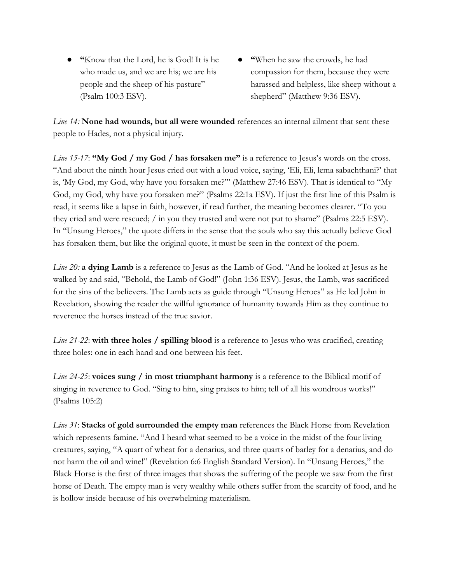- **"**Know that the Lord, he is God! It is he who made us, and we are his; we are his people and the sheep of his pasture" (Psalm 100:3 ESV).
- **● "**When he saw the crowds, he had compassion for them, because they were harassed and helpless, like sheep without a shepherd" (Matthew 9:36 ESV).

*Line 14:* **None had wounds, but all were wounded** references an internal ailment that sent these people to Hades, not a physical injury.

*Line 15-17*: "My God / my God / has forsaken me" is a reference to Jesus's words on the cross. "And about the ninth hour Jesus cried out with a loud voice, saying, 'Eli, Eli, lema sabachthani?' that is, 'My God, my God, why have you forsaken me?'" (Matthew 27:46 ESV). That is identical to "My God, my God, why have you forsaken me?" (Psalms 22:1a ESV). If just the first line of this Psalm is read, it seems like a lapse in faith, however, if read further, the meaning becomes clearer. "To you they cried and were rescued; / in you they trusted and were not put to shame" (Psalms 22:5 ESV). In "Unsung Heroes," the quote differs in the sense that the souls who say this actually believe God has forsaken them, but like the original quote, it must be seen in the context of the poem.

*Line 20:* **a dying Lamb** is a reference to Jesus as the Lamb of God. "And he looked at Jesus as he walked by and said, "Behold, the Lamb of God!" (John 1:36 ESV). Jesus, the Lamb, was sacrificed for the sins of the believers. The Lamb acts as guide through "Unsung Heroes" as He led John in Revelation, showing the reader the willful ignorance of humanity towards Him as they continue to reverence the horses instead of the true savior.

*Line 21-22*: **with three holes / spilling blood** is a reference to Jesus who was crucified, creating three holes: one in each hand and one between his feet.

*Line 24-25*: **voices sung / in most triumphant harmony** is a reference to the Biblical motif of singing in reverence to God. "Sing to him, sing praises to him; tell of all his wondrous works!" (Psalms 105:2)

*Line 31*: **Stacks of gold surrounded the empty man** references the Black Horse from Revelation which represents famine. "And I heard what seemed to be a voice in the midst of the four living creatures, saying, "A quart of wheat for a denarius, and three quarts of barley for a denarius, and do not harm the oil and wine!" (Revelation 6:6 English Standard Version). In "Unsung Heroes," the Black Horse is the first of three images that shows the suffering of the people we saw from the first horse of Death. The empty man is very wealthy while others suffer from the scarcity of food, and he is hollow inside because of his overwhelming materialism.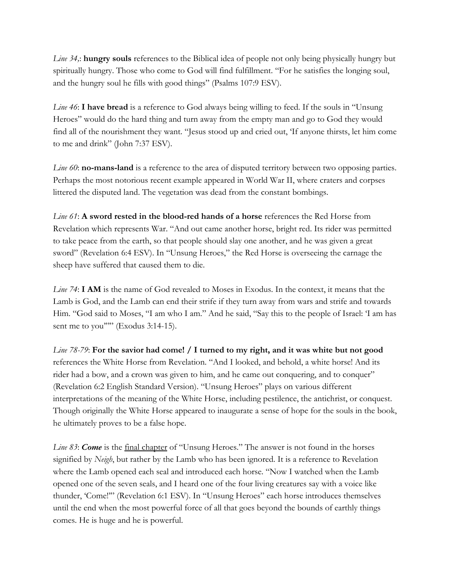*Line 34,*: **hungry souls** references to the Biblical idea of people not only being physically hungry but spiritually hungry. Those who come to God will find fulfillment. "For he satisfies the longing soul, and the hungry soul he fills with good things" (Psalms 107:9 ESV).

*Line 46*: **I have bread** is a reference to God always being willing to feed. If the souls in "Unsung Heroes" would do the hard thing and turn away from the empty man and go to God they would find all of the nourishment they want. "Jesus stood up and cried out, 'If anyone thirsts, let him come to me and drink" (John 7:37 ESV).

*Line 60*: **no-mans-land** is a reference to the area of disputed territory between two opposing parties. Perhaps the most notorious recent example appeared in World War II, where craters and corpses littered the disputed land. The vegetation was dead from the constant bombings.

*Line 61*: **A sword rested in the blood-red hands of a horse** references the Red Horse from Revelation which represents War. "And out came another horse, bright red. Its rider was permitted to take peace from the earth, so that people should slay one another, and he was given a great sword" (Revelation 6:4 ESV). In "Unsung Heroes," the Red Horse is overseeing the carnage the sheep have suffered that caused them to die.

*Line* 74: **I AM** is the name of God revealed to Moses in Exodus. In the context, it means that the Lamb is God, and the Lamb can end their strife if they turn away from wars and strife and towards Him. "God said to Moses, "I am who I am." And he said, "Say this to the people of Israel: 'I am has sent me to you""" (Exodus 3:14-15).

*Line 78-79*: **For the savior had come! / I turned to my right, and it was white but not good** references the White Horse from Revelation. "And I looked, and behold, a white horse! And its rider had a bow, and a crown was given to him, and he came out conquering, and to conquer" (Revelation 6:2 English Standard Version). "Unsung Heroes" plays on various different interpretations of the meaning of the White Horse, including pestilence, the antichrist, or conquest. Though originally the White Horse appeared to inaugurate a sense of hope for the souls in the book, he ultimately proves to be a false hope.

*Line 83*: *Come* is the final chapter of "Unsung Heroes." The answer is not found in the horses signified by *Neigh*, but rather by the Lamb who has been ignored. It is a reference to Revelation where the Lamb opened each seal and introduced each horse. "Now I watched when the Lamb opened one of the seven seals, and I heard one of the four living creatures say with a voice like thunder, 'Come!'" (Revelation 6:1 ESV). In "Unsung Heroes" each horse introduces themselves until the end when the most powerful force of all that goes beyond the bounds of earthly things comes. He is huge and he is powerful.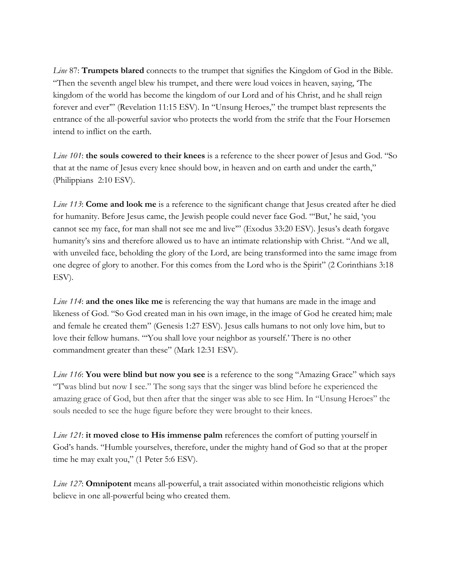*Line* 87: **Trumpets blared** connects to the trumpet that signifies the Kingdom of God in the Bible. "Then the seventh angel blew his trumpet, and there were loud voices in heaven, saying, 'The kingdom of the world has become the kingdom of our Lord and of his Christ, and he shall reign forever and ever'" (Revelation 11:15 ESV). In "Unsung Heroes," the trumpet blast represents the entrance of the all-powerful savior who protects the world from the strife that the Four Horsemen intend to inflict on the earth.

*Line 101*: **the souls cowered to their knees** is a reference to the sheer power of Jesus and God. "So that at the name of Jesus every knee should bow, in heaven and on earth and under the earth," (Philippians 2:10 ESV).

*Line 113*: **Come and look me** is a reference to the significant change that Jesus created after he died for humanity. Before Jesus came, the Jewish people could never face God. "'But,' he said, 'you cannot see my face, for man shall not see me and live'" (Exodus 33:20 ESV). Jesus's death forgave humanity's sins and therefore allowed us to have an intimate relationship with Christ. "And we all, with unveiled face, beholding the glory of the Lord, are being transformed into the same image from one degree of glory to another. For this comes from the Lord who is the Spirit" (2 Corinthians 3:18 ESV).

*Line 114*: **and the ones like me** is referencing the way that humans are made in the image and likeness of God. "So God created man in his own image, in the image of God he created him; male and female he created them" (Genesis 1:27 ESV). Jesus calls humans to not only love him, but to love their fellow humans. "'You shall love your neighbor as yourself.' There is no other commandment greater than these" (Mark 12:31 ESV).

*Line 116*: **You were blind but now you see** is a reference to the song "Amazing Grace" which says "T'was blind but now I see." The song says that the singer was blind before he experienced the amazing grace of God, but then after that the singer was able to see Him. In "Unsung Heroes" the souls needed to see the huge figure before they were brought to their knees.

*Line 121*: **it moved close to His immense palm** references the comfort of putting yourself in God's hands. "Humble yourselves, therefore, under the mighty hand of God so that at the proper time he may exalt you," (1 Peter 5:6 ESV).

*Line 127*: **Omnipotent** means all-powerful, a trait associated within monotheistic religions which believe in one all-powerful being who created them.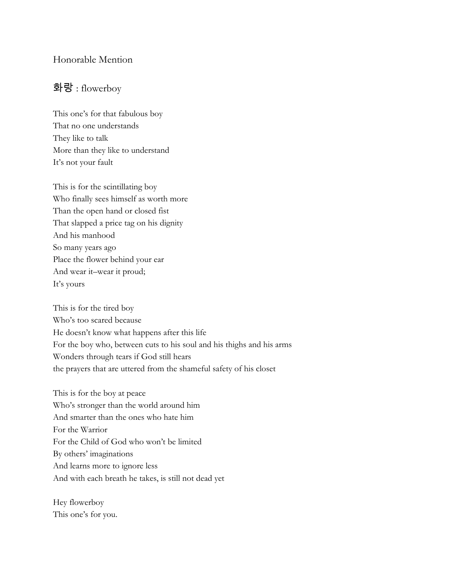## Honorable Mention

## 화랑 : flowerboy

This one's for that fabulous boy That no one understands They like to talk More than they like to understand It's not your fault

This is for the scintillating boy Who finally sees himself as worth more Than the open hand or closed fist That slapped a price tag on his dignity And his manhood So many years ago Place the flower behind your ear And wear it–wear it proud; It's yours

This is for the tired boy Who's too scared because He doesn't know what happens after this life For the boy who, between cuts to his soul and his thighs and his arms Wonders through tears if God still hears the prayers that are uttered from the shameful safety of his closet

This is for the boy at peace Who's stronger than the world around him And smarter than the ones who hate him For the Warrior For the Child of God who won't be limited By others' imaginations And learns more to ignore less And with each breath he takes, is still not dead yet

Hey flowerboy This one's for you.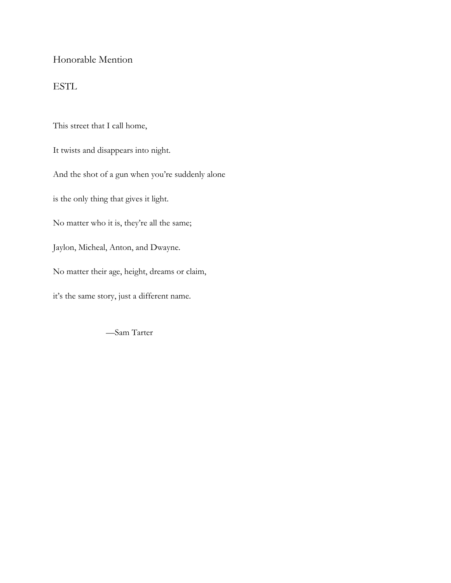## Honorable Mention

## ESTL

This street that I call home, It twists and disappears into night. And the shot of a gun when you're suddenly alone is the only thing that gives it light. No matter who it is, they're all the same; Jaylon, Micheal, Anton, and Dwayne. No matter their age, height, dreams or claim, it's the same story, just a different name.

—Sam Tarter